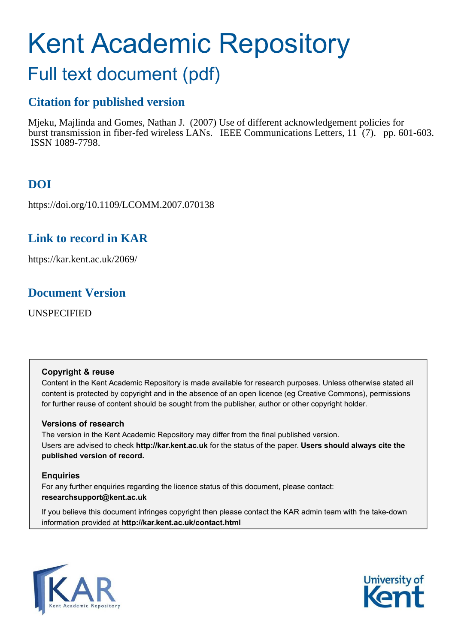# Kent Academic Repository

# Full text document (pdf)

## **Citation for published version**

Mjeku, Majlinda and Gomes, Nathan J. (2007) Use of different acknowledgement policies for burst transmission in fiber-fed wireless LANs. IEEE Communications Letters, 11 (7). pp. 601-603. ISSN 1089-7798.

# **DOI**

https://doi.org/10.1109/LCOMM.2007.070138

## **Link to record in KAR**

https://kar.kent.ac.uk/2069/

## **Document Version**

UNSPECIFIED

### **Copyright & reuse**

Content in the Kent Academic Repository is made available for research purposes. Unless otherwise stated all content is protected by copyright and in the absence of an open licence (eg Creative Commons), permissions for further reuse of content should be sought from the publisher, author or other copyright holder.

### **Versions of research**

The version in the Kent Academic Repository may differ from the final published version. Users are advised to check **http://kar.kent.ac.uk** for the status of the paper. **Users should always cite the published version of record.**

### **Enquiries**

For any further enquiries regarding the licence status of this document, please contact: **researchsupport@kent.ac.uk**

If you believe this document infringes copyright then please contact the KAR admin team with the take-down information provided at **http://kar.kent.ac.uk/contact.html**



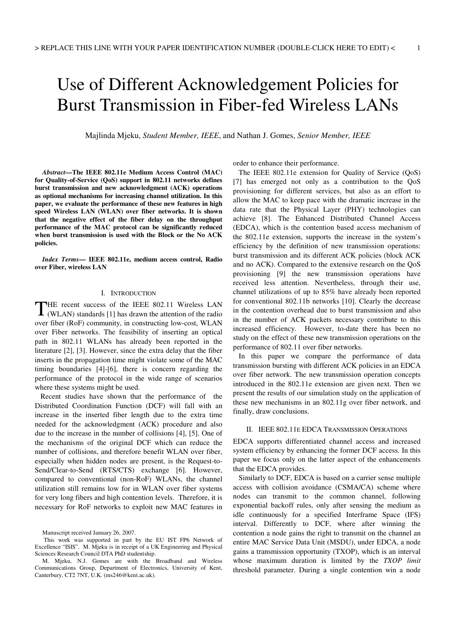# Use of Different Acknowledgement Policies for Burst Transmission in Fiber-fed Wireless LANs

Majlinda Mjeku, *Student Member, IEEE*, and Nathan J. Gomes, *Senior Member, IEEE*

*Abstract***—The IEEE 802.11e Medium Access Control (MAC) for Quality-of-Service (QoS) support in 802.11 networks defines burst transmission and new acknowledgment (ACK) operations as optional mechanisms for increasing channel utilization. In this paper, we evaluate the performance of these new features in high speed Wireless LAN (WLAN) over fiber networks. It is shown that the negative effect of the fiber delay on the throughput performance of the MAC protocol can be significantly reduced when burst transmission is used with the Block or the No ACK policies.** 

*Index Terms***— IEEE 802.11e, medium access control, Radio over Fiber, wireless LAN** 

### I. INTRODUCTION

HE recent success of the IEEE 802.11 Wireless LAN THE recent success of the IEEE 802.11 Wireless LAN (WLAN) standards [1] has drawn the attention of the radio over fiber (RoF) community, in constructing low-cost, WLAN over Fiber networks. The feasibility of inserting an optical path in 802.11 WLANs has already been reported in the literature [2], [3]. However, since the extra delay that the fiber inserts in the propagation time might violate some of the MAC timing boundaries [4]-[6], there is concern regarding the performance of the protocol in the wide range of scenarios where these systems might be used.

 Recent studies have shown that the performance of the Distributed Coordination Function (DCF) will fall with an increase in the inserted fiber length due to the extra time needed for the acknowledgment (ACK) procedure and also due to the increase in the number of collisions [4], [5]. One of the mechanisms of the original DCF which can reduce the number of collisions, and therefore benefit WLAN over fiber, especially when hidden nodes are present, is the Request-to-Send/Clear-to-Send (RTS/CTS) exchange [6]. However, compared to conventional (non-RoF) WLANs, the channel utilization still remains low for in WLAN over fiber systems for very long fibers and high contention levels. Therefore, it is necessary for RoF networks to exploit new MAC features in

Manuscript received January 26, 2007.

order to enhance their performance.

 The IEEE 802.11e extension for Quality of Service (QoS) [7] has emerged not only as a contribution to the QoS provisioning for different services, but also as an effort to allow the MAC to keep pace with the dramatic increase in the data rate that the Physical Layer (PHY) technologies can achieve [8]. The Enhanced Distributed Channel Access (EDCA), which is the contention based access mechanism of the 802.11e extension, supports the increase in the system's efficiency by the definition of new transmission operations: burst transmission and its different ACK policies (block ACK and no ACK). Compared to the extensive research on the QoS provisioning [9] the new transmission operations have received less attention. Nevertheless, through their use, channel utilizations of up to 85% have already been reported for conventional 802.11b networks [10]. Clearly the decrease in the contention overhead due to burst transmission and also in the number of ACK packets necessary contribute to this increased efficiency. However, to-date there has been no study on the effect of these new transmission operations on the performance of 802.11 over fiber networks.

 In this paper we compare the performance of data transmission bursting with different ACK policies in an EDCA over fiber network. The new transmission operation concepts introduced in the 802.11e extension are given next. Then we present the results of our simulation study on the application of these new mechanisms in an 802.11g over fiber network, and finally, draw conclusions.

### II. IEEE 802.11E EDCA TRANSMISSION OPERATIONS

EDCA supports differentiated channel access and increased system efficiency by enhancing the former DCF access. In this paper we focus only on the latter aspect of the enhancements that the EDCA provides.

 Similarly to DCF, EDCA is based on a carrier sense multiple access with collision avoidance (CSMA/CA) scheme where nodes can transmit to the common channel, following exponential backoff rules, only after sensing the medium as idle continuously for a specified Interframe Space (IFS) interval. Differently to DCF, where after winning the contention a node gains the right to transmit on the channel an entire MAC Service Data Unit (MSDU), under EDCA, a node gains a transmission opportunity (TXOP), which is an interval whose maximum duration is limited by the *TXOP limit* threshold parameter. During a single contention win a node

This work was supported in part by the EU IST FP6 Network of Excellence "ISIS". M. Mjeku is in receipt of a UK Engineering and Physical Sciences Research Council DTA PhD studentship.

M. Mjeku, N.J. Gomes are with the Broadband and Wireless Communications Group, Department of Electronics, University of Kent, Canterbury, CT2 7NT, U.K. (ms246@kent.ac.uk).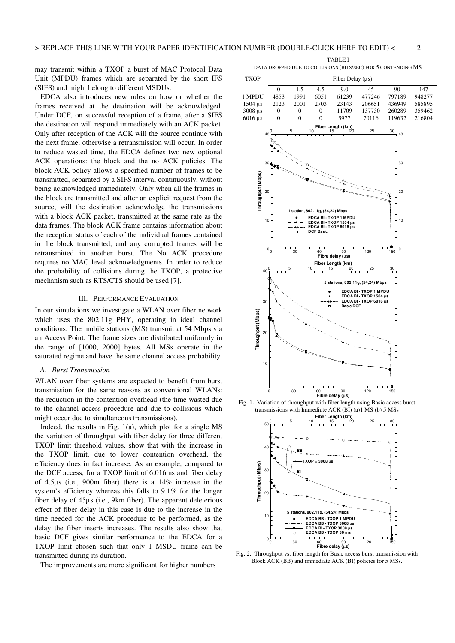may transmit within a TXOP a burst of MAC Protocol Data Unit (MPDU) frames which are separated by the short IFS (SIFS) and might belong to different MSDUs.

 EDCA also introduces new rules on how or whether the frames received at the destination will be acknowledged. Under DCF, on successful reception of a frame, after a SIFS the destination will respond immediately with an ACK packet. Only after reception of the ACK will the source continue with the next frame, otherwise a retransmission will occur. In order to reduce wasted time, the EDCA defines two new optional ACK operations: the block and the no ACK policies. The block ACK policy allows a specified number of frames to be transmitted, separated by a SIFS interval continuously, without being acknowledged immediately. Only when all the frames in the block are transmitted and after an explicit request from the source, will the destination acknowledge the transmissions with a block ACK packet, transmitted at the same rate as the data frames. The block ACK frame contains information about the reception status of each of the individual frames contained in the block transmitted, and any corrupted frames will be retransmitted in another burst. The No ACK procedure requires no MAC level acknowledgments. In order to reduce the probability of collisions during the TXOP, a protective mechanism such as RTS/CTS should be used [7].

### III. PERFORMANCE EVALUATION

In our simulations we investigate a WLAN over fiber network which uses the 802.11g PHY, operating in ideal channel conditions. The mobile stations (MS) transmit at 54 Mbps via an Access Point. The frame sizes are distributed uniformly in the range of [1000, 2000] bytes. All MSs operate in the saturated regime and have the same channel access probability.

#### *A. Burst Transmission*

WLAN over fiber systems are expected to benefit from burst transmission for the same reasons as conventional WLANs: the reduction in the contention overhead (the time wasted due to the channel access procedure and due to collisions which might occur due to simultaneous transmissions).

 Indeed, the results in Fig. 1(a), which plot for a single MS the variation of throughput with fiber delay for three different TXOP limit threshold values, show that with the increase in the TXOP limit, due to lower contention overhead, the efficiency does in fact increase. As an example, compared to the DCF access, for a TXOP limit of 6.016ms and fiber delay of 4.5µs (i.e., 900m fiber) there is a 14% increase in the system's efficiency whereas this falls to 9.1% for the longer fiber delay of 45µs (i.e., 9km fiber). The apparent deleterious effect of fiber delay in this case is due to the increase in the time needed for the ACK procedure to be performed, as the delay the fiber inserts increases. The results also show that basic DCF gives similar performance to the EDCA for a TXOP limit chosen such that only 1 MSDU frame can be transmitted during its duration.

The improvements are more significant for higher numbers

TABLE I DATA DROPPED DUE TO COLLISIONS (BITS/SEC) FOR 5 CONTENDING MS





Fig. 2. Throughput vs. fiber length for Basic access burst transmission with Block ACK (BB) and immediate ACK (BI) policies for 5 MSs.